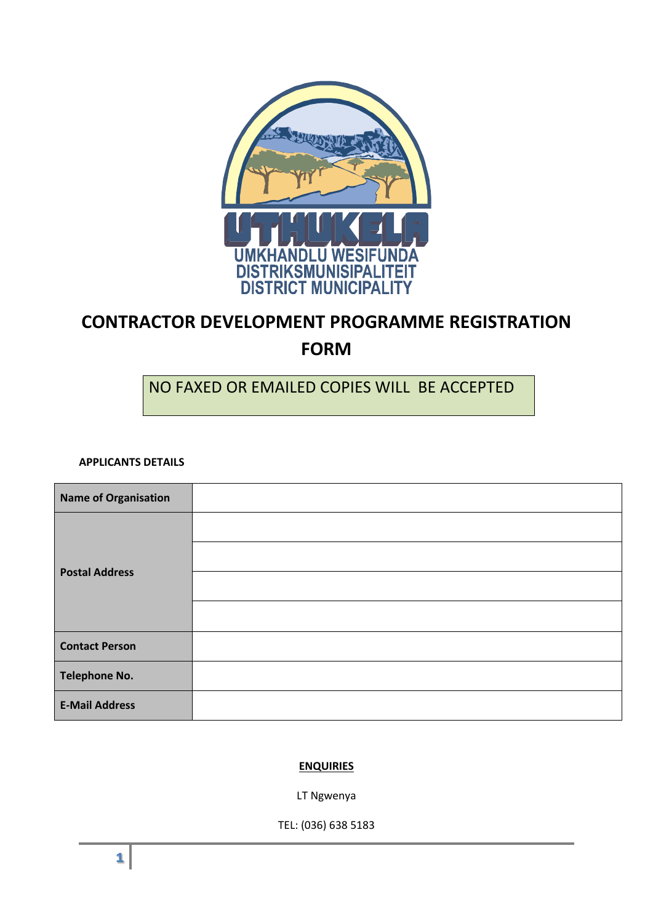

# **CONTRACTOR DEVELOPMENT PROGRAMME REGISTRATION FORM**

# NO FAXED OR EMAILED COPIES WILL BE ACCEPTED

**APPLICANTS DETAILS**

| <b>Name of Organisation</b> |  |
|-----------------------------|--|
| <b>Postal Address</b>       |  |
|                             |  |
|                             |  |
|                             |  |
| <b>Contact Person</b>       |  |
| <b>Telephone No.</b>        |  |
| <b>E-Mail Address</b>       |  |

## **ENQUIRIES**

LT Ngwenya

TEL: (036) 638 5183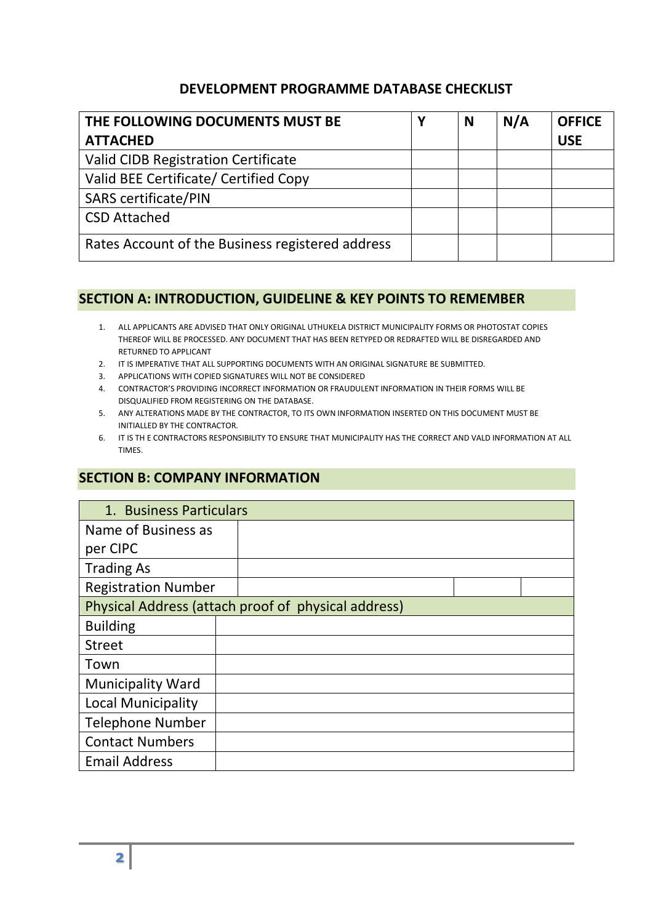# **DEVELOPMENT PROGRAMME DATABASE CHECKLIST**

| THE FOLLOWING DOCUMENTS MUST BE                  | Υ | N | N/A | <b>OFFICE</b> |
|--------------------------------------------------|---|---|-----|---------------|
| <b>ATTACHED</b>                                  |   |   |     | <b>USE</b>    |
| <b>Valid CIDB Registration Certificate</b>       |   |   |     |               |
| Valid BEE Certificate/ Certified Copy            |   |   |     |               |
| <b>SARS certificate/PIN</b>                      |   |   |     |               |
| <b>CSD Attached</b>                              |   |   |     |               |
| Rates Account of the Business registered address |   |   |     |               |

# **SECTION A: INTRODUCTION, GUIDELINE & KEY POINTS TO REMEMBER**

- 1. ALL APPLICANTS ARE ADVISED THAT ONLY ORIGINAL UTHUKELA DISTRICT MUNICIPALITY FORMS OR PHOTOSTAT COPIES THEREOF WILL BE PROCESSED. ANY DOCUMENT THAT HAS BEEN RETYPED OR REDRAFTED WILL BE DISREGARDED AND RETURNED TO APPLICANT
- 2. IT IS IMPERATIVE THAT ALL SUPPORTING DOCUMENTS WITH AN ORIGINAL SIGNATURE BE SUBMITTED.
- 3. APPLICATIONS WITH COPIED SIGNATURES WILL NOT BE CONSIDERED
- 4. CONTRACTOR'S PROVIDING INCORRECT INFORMATION OR FRAUDULENT INFORMATION IN THEIR FORMS WILL BE DISQUALIFIED FROM REGISTERING ON THE DATABASE.
- 5. ANY ALTERATIONS MADE BY THE CONTRACTOR, TO ITS OWN INFORMATION INSERTED ON THIS DOCUMENT MUST BE INITIALLED BY THE CONTRACTOR.
- 6. IT IS TH E CONTRACTORS RESPONSIBILITY TO ENSURE THAT MUNICIPALITY HAS THE CORRECT AND VALD INFORMATION AT ALL TIMES.

# **SECTION B: COMPANY INFORMATION**

| 1. Business Particulars                             |  |  |  |  |  |  |  |
|-----------------------------------------------------|--|--|--|--|--|--|--|
| Name of Business as                                 |  |  |  |  |  |  |  |
| per CIPC                                            |  |  |  |  |  |  |  |
| <b>Trading As</b>                                   |  |  |  |  |  |  |  |
| <b>Registration Number</b>                          |  |  |  |  |  |  |  |
| Physical Address (attach proof of physical address) |  |  |  |  |  |  |  |
| <b>Building</b>                                     |  |  |  |  |  |  |  |
| <b>Street</b>                                       |  |  |  |  |  |  |  |
| Town                                                |  |  |  |  |  |  |  |
| <b>Municipality Ward</b>                            |  |  |  |  |  |  |  |
| <b>Local Municipality</b>                           |  |  |  |  |  |  |  |
| <b>Telephone Number</b>                             |  |  |  |  |  |  |  |
| <b>Contact Numbers</b>                              |  |  |  |  |  |  |  |
| <b>Email Address</b>                                |  |  |  |  |  |  |  |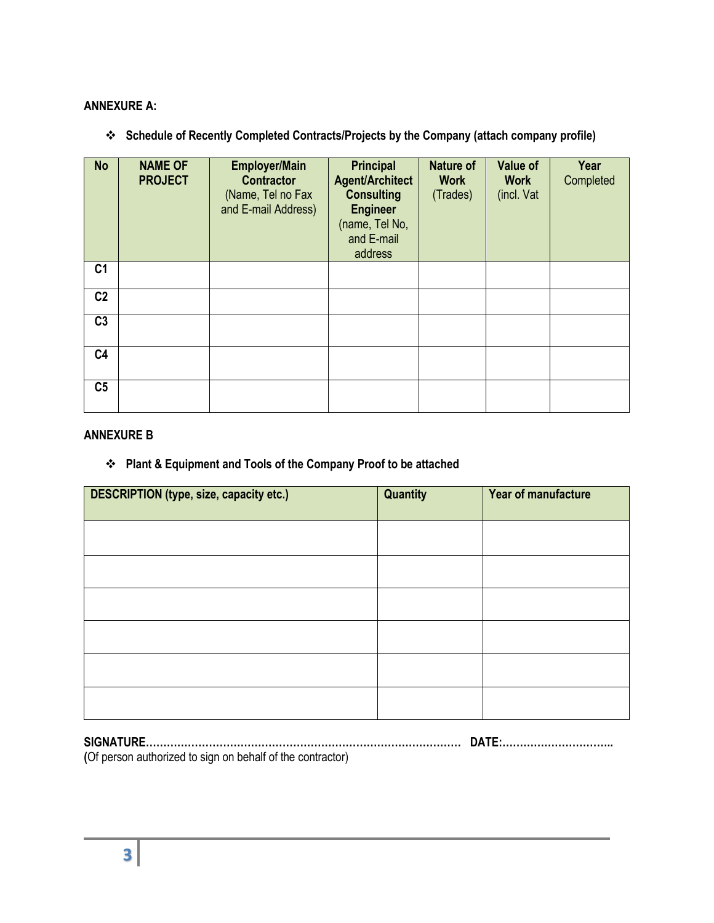## **ANNEXURE A:**

**Schedule of Recently Completed Contracts/Projects by the Company (attach company profile)**

| <b>No</b>      | <b>NAME OF</b><br><b>PROJECT</b> | <b>Employer/Main</b><br><b>Contractor</b><br>(Name, Tel no Fax<br>and E-mail Address) | <b>Principal</b><br><b>Agent/Architect</b><br><b>Consulting</b><br><b>Engineer</b><br>(name, Tel No,<br>and E-mail<br>address | <b>Nature of</b><br><b>Work</b><br>(Trades) | <b>Value of</b><br><b>Work</b><br>(incl. Vat | Year<br>Completed |
|----------------|----------------------------------|---------------------------------------------------------------------------------------|-------------------------------------------------------------------------------------------------------------------------------|---------------------------------------------|----------------------------------------------|-------------------|
| C <sub>1</sub> |                                  |                                                                                       |                                                                                                                               |                                             |                                              |                   |
| C <sub>2</sub> |                                  |                                                                                       |                                                                                                                               |                                             |                                              |                   |
| C <sub>3</sub> |                                  |                                                                                       |                                                                                                                               |                                             |                                              |                   |
| C <sub>4</sub> |                                  |                                                                                       |                                                                                                                               |                                             |                                              |                   |
| C <sub>5</sub> |                                  |                                                                                       |                                                                                                                               |                                             |                                              |                   |

### **ANNEXURE B**

## **Plant & Equipment and Tools of the Company Proof to be attached**

| <b>DESCRIPTION (type, size, capacity etc.)</b> | <b>Quantity</b> | Year of manufacture |
|------------------------------------------------|-----------------|---------------------|
|                                                |                 |                     |
|                                                |                 |                     |
|                                                |                 |                     |
|                                                |                 |                     |
|                                                |                 |                     |
|                                                |                 |                     |

**SIGNATURE……………………………………………………………………………… DATE:………………………….. (**Of person authorized to sign on behalf of the contractor)